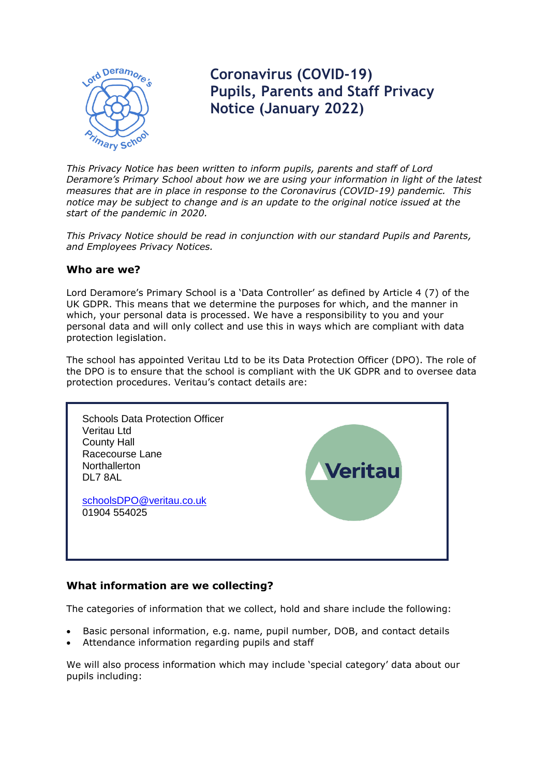

# **Coronavirus (COVID-19) Pupils, Parents and Staff Privacy Notice (January 2022)**

*This Privacy Notice has been written to inform pupils, parents and staff of Lord Deramore's Primary School about how we are using your information in light of the latest measures that are in place in response to the Coronavirus (COVID-19) pandemic. This notice may be subject to change and is an update to the original notice issued at the start of the pandemic in 2020.*

*This Privacy Notice should be read in conjunction with our standard Pupils and Parents, and Employees Privacy Notices.*

## **Who are we?**

Lord Deramore's Primary School is a 'Data Controller' as defined by Article 4 (7) of the UK GDPR. This means that we determine the purposes for which, and the manner in which, your personal data is processed. We have a responsibility to you and your personal data and will only collect and use this in ways which are compliant with data protection legislation.

The school has appointed Veritau Ltd to be its Data Protection Officer (DPO). The role of the DPO is to ensure that the school is compliant with the UK GDPR and to oversee data protection procedures. Veritau's contact details are:



## **What information are we collecting?**

The categories of information that we collect, hold and share include the following:

- Basic personal information, e.g. name, pupil number, DOB, and contact details
- Attendance information regarding pupils and staff

We will also process information which may include 'special category' data about our pupils including: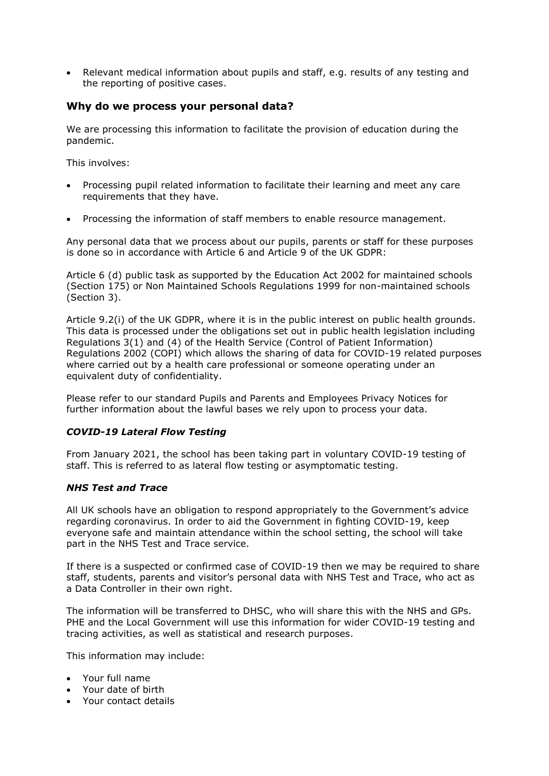Relevant medical information about pupils and staff, e.g. results of any testing and the reporting of positive cases.

## **Why do we process your personal data?**

We are processing this information to facilitate the provision of education during the pandemic.

This involves:

- Processing pupil related information to facilitate their learning and meet any care requirements that they have.
- Processing the information of staff members to enable resource management.

Any personal data that we process about our pupils, parents or staff for these purposes is done so in accordance with Article 6 and Article 9 of the UK GDPR:

Article 6 (d) public task as supported by the Education Act 2002 for maintained schools (Section 175) or Non Maintained Schools Regulations 1999 for non-maintained schools (Section 3).

Article 9.2(i) of the UK GDPR, where it is in the public interest on public health grounds. This data is processed under the obligations set out in public health legislation including Regulations 3(1) and (4) of the Health Service (Control of Patient Information) Regulations 2002 (COPI) which allows the sharing of data for COVID-19 related purposes where carried out by a health care professional or someone operating under an equivalent duty of confidentiality.

Please refer to our standard Pupils and Parents and Employees Privacy Notices for further information about the lawful bases we rely upon to process your data.

## *COVID-19 Lateral Flow Testing*

From January 2021, the school has been taking part in voluntary COVID-19 testing of staff. This is referred to as lateral flow testing or asymptomatic testing.

#### *NHS Test and Trace*

All UK schools have an obligation to respond appropriately to the Government's advice regarding coronavirus. In order to aid the Government in fighting COVID-19, keep everyone safe and maintain attendance within the school setting, the school will take part in the NHS Test and Trace service.

If there is a suspected or confirmed case of COVID-19 then we may be required to share staff, students, parents and visitor's personal data with NHS Test and Trace, who act as a Data Controller in their own right.

The information will be transferred to DHSC, who will share this with the NHS and GPs. PHE and the Local Government will use this information for wider COVID-19 testing and tracing activities, as well as statistical and research purposes.

This information may include:

- Your full name
- Your date of birth
- Your contact details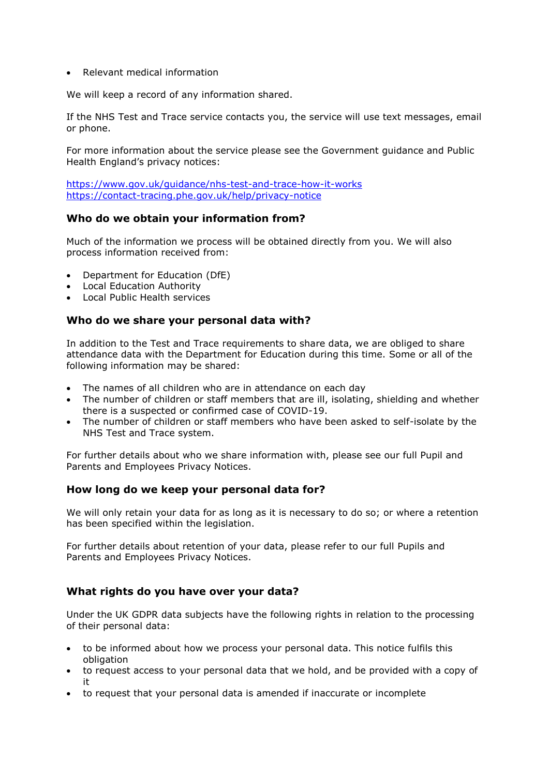• Relevant medical information

We will keep a record of any information shared.

If the NHS Test and Trace service contacts you, the service will use text messages, email or phone.

For more information about the service please see the Government guidance and Public Health England's privacy notices:

<https://www.gov.uk/guidance/nhs-test-and-trace-how-it-works> <https://contact-tracing.phe.gov.uk/help/privacy-notice>

## **Who do we obtain your information from?**

Much of the information we process will be obtained directly from you. We will also process information received from:

- Department for Education (DfE)
- Local Education Authority
- Local Public Health services

## **Who do we share your personal data with?**

In addition to the Test and Trace requirements to share data, we are obliged to share attendance data with the Department for Education during this time. Some or all of the following information may be shared:

- The names of all children who are in attendance on each day
- The number of children or staff members that are ill, isolating, shielding and whether there is a suspected or confirmed case of COVID-19.
- The number of children or staff members who have been asked to self-isolate by the NHS Test and Trace system.

For further details about who we share information with, please see our full Pupil and Parents and Employees Privacy Notices.

## **How long do we keep your personal data for?**

We will only retain your data for as long as it is necessary to do so; or where a retention has been specified within the legislation.

For further details about retention of your data, please refer to our full Pupils and Parents and Employees Privacy Notices.

## **What rights do you have over your data?**

Under the UK GDPR data subjects have the following rights in relation to the processing of their personal data:

- to be informed about how we process your personal data. This notice fulfils this obligation
- to request access to your personal data that we hold, and be provided with a copy of it
- to request that your personal data is amended if inaccurate or incomplete